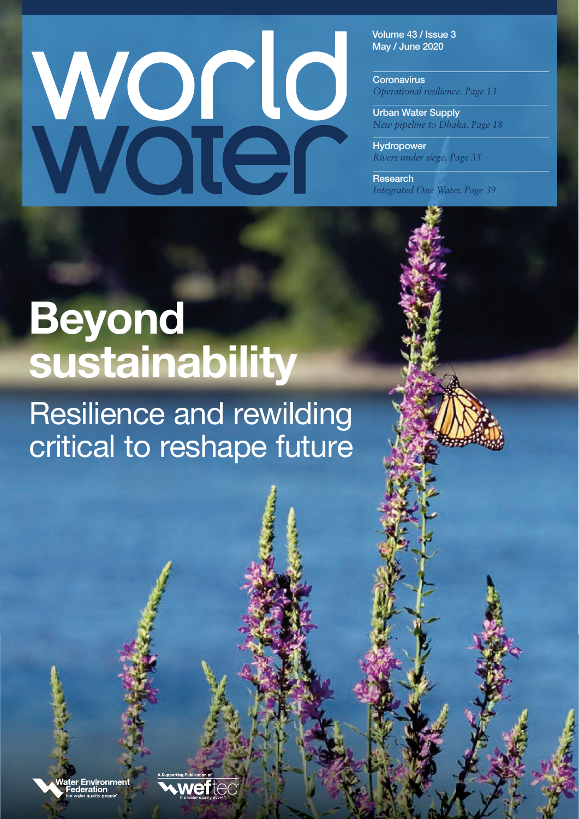# Word

**Volume 43 / Issue 3 May / June 2020**

**Coronavirus**  *Operational resilience. Page 13*

**Urban Water Supply**  *New pipeline to Dhaka. Page 18*

**Hydropower**  *Rivers under siege. Page 35*

**Research**  *Integrated One Water. Page 39*

## **Beyond sustainability**

### Resilience and rewilding critical to reshape future

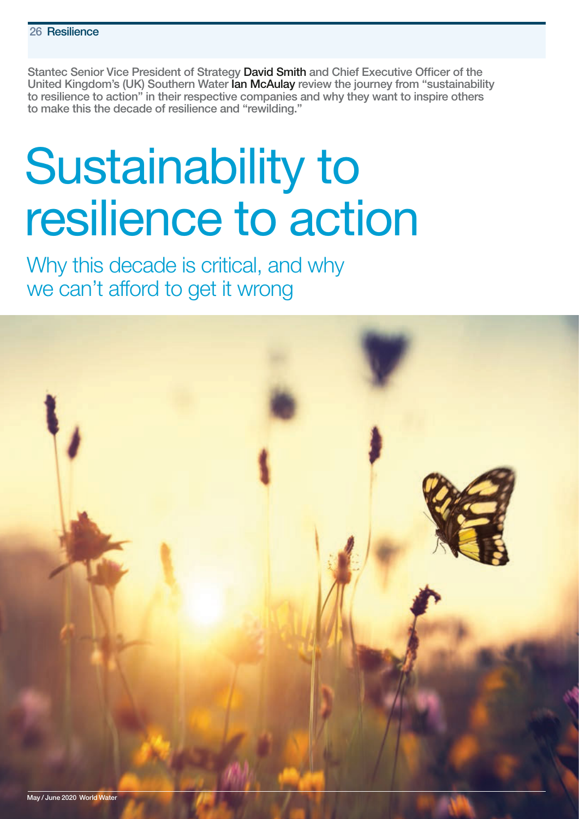**Stantec Senior Vice President of Strategy David Smith and Chief Executive Officer of the United Kingdom's (UK) Southern Water Ian McAulay review the journey from "sustainability to resilience to action" in their respective companies and why they want to inspire others to make this the decade of resilience and "rewilding."**

## Sustainability to resilience to action

Why this decade is critical, and why we can't afford to get it wrong

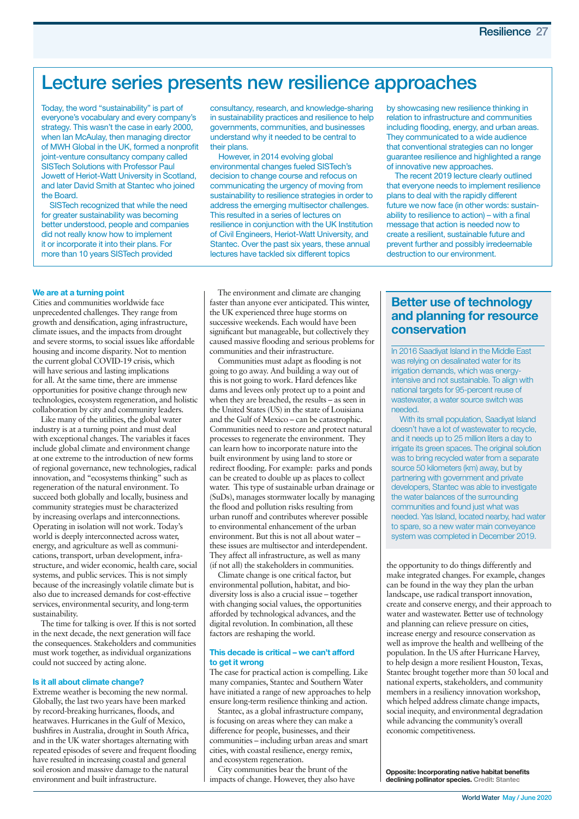#### **Lecture series presents new resilience approaches**

Today, the word "sustainability" is part of everyone's vocabulary and every company's strategy. This wasn't the case in early 2000, when Ian McAulay, then managing director of MWH Global in the UK, formed a nonprofit joint-venture consultancy company called SISTech Solutions with Professor Paul Jowett of Heriot-Watt University in Scotland, and later David Smith at Stantec who joined the Board.

SISTech recognized that while the need for greater sustainability was becoming better understood, people and companies did not really know how to implement it or incorporate it into their plans. For more than 10 years SISTech provided

consultancy, research, and knowledge-sharing in sustainability practices and resilience to help governments, communities, and businesses understand why it needed to be central to their plans.

However, in 2014 evolving global environmental changes fueled SISTech's decision to change course and refocus on communicating the urgency of moving from sustainability to resilience strategies in order to address the emerging multisector challenges. This resulted in a series of lectures on resilience in conjunction with the UK Institution of Civil Engineers, Heriot-Watt University, and Stantec. Over the past six years, these annual lectures have tackled six different topics

by showcasing new resilience thinking in relation to infrastructure and communities including flooding, energy, and urban areas. They communicated to a wide audience that conventional strategies can no longer guarantee resilience and highlighted a range of innovative new approaches.

The recent 2019 lecture clearly outlined that everyone needs to implement resilience plans to deal with the rapidly different future we now face (in other words: sustainability to resilience to action) – with a final message that action is needed now to create a resilient, sustainable future and prevent further and possibly irredeemable destruction to our environment.

#### **We are at a turning point**

Cities and communities worldwide face unprecedented challenges. They range from growth and densification, aging infrastructure, climate issues, and the impacts from drought and severe storms, to social issues like affordable housing and income disparity. Not to mention the current global COVID-19 crisis, which will have serious and lasting implications for all. At the same time, there are immense opportunities for positive change through new technologies, ecosystem regeneration, and holistic collaboration by city and community leaders.

Like many of the utilities, the global water industry is at a turning point and must deal with exceptional changes. The variables it faces include global climate and environment change at one extreme to the introduction of new forms of regional governance, new technologies, radical innovation, and "ecosystems thinking" such as regeneration of the natural environment. To succeed both globally and locally, business and community strategies must be characterized by increasing overlaps and interconnections. Operating in isolation will not work. Today's world is deeply interconnected across water, energy, and agriculture as well as communications, transport, urban development, infrastructure, and wider economic, health care, social systems, and public services. This is not simply because of the increasingly volatile climate but is also due to increased demands for cost-effective services, environmental security, and long-term sustainability.

The time for talking is over. If this is not sorted in the next decade, the next generation will face the consequences. Stakeholders and communities must work together, as individual organizations could not succeed by acting alone.

#### **Is it all about climate change?**

Extreme weather is becoming the new normal. Globally, the last two years have been marked by record-breaking hurricanes, floods, and heatwaves. Hurricanes in the Gulf of Mexico, bushfires in Australia, drought in South Africa, and in the UK water shortages alternating with repeated episodes of severe and frequent flooding have resulted in increasing coastal and general soil erosion and massive damage to the natural environment and built infrastructure.

The environment and climate are changing faster than anyone ever anticipated. This winter, the UK experienced three huge storms on successive weekends. Each would have been significant but manageable, but collectively they caused massive flooding and serious problems for communities and their infrastructure.

Communities must adapt as flooding is not going to go away. And building a way out of this is not going to work. Hard defences like dams and levees only protect up to a point and when they are breached, the results – as seen in the United States (US) in the state of Louisiana and the Gulf of Mexico – can be catastrophic. Communities need to restore and protect natural processes to regenerate the environment. They can learn how to incorporate nature into the built environment by using land to store or redirect flooding. For example: parks and ponds can be created to double up as places to collect water. This type of sustainable urban drainage or (SuDs), manages stormwater locally by managing the flood and pollution risks resulting from urban runoff and contributes wherever possible to environmental enhancement of the urban environment. But this is not all about water – these issues are multisector and interdependent. They affect all infrastructure, as well as many (if not all) the stakeholders in communities.

Climate change is one critical factor, but environmental pollution, habitat, and biodiversity loss is also a crucial issue – together with changing social values, the opportunities afforded by technological advances, and the digital revolution. In combination, all these factors are reshaping the world.

#### **This decade is critical – we can't afford to get it wrong**

The case for practical action is compelling. Like many companies, Stantec and Southern Water have initiated a range of new approaches to help ensure long-term resilience thinking and action.

Stantec, as a global infrastructure company, is focusing on areas where they can make a difference for people, businesses, and their communities – including urban areas and smart cities, with coastal resilience, energy remix, and ecosystem regeneration.

City communities bear the brunt of the impacts of change. However, they also have

#### **Better use of technology and planning for resource conservation**

In 2016 Saadiyat Island in the Middle East was relying on desalinated water for its irrigation demands, which was energyintensive and not sustainable. To align with national targets for 95-percent reuse of wastewater, a water source switch was needed.

With its small population, Saadiyat Island doesn't have a lot of wastewater to recycle, and it needs up to 25 million liters a day to irrigate its green spaces. The original solution was to bring recycled water from a separate source 50 kilometers (km) away, but by partnering with government and private developers, Stantec was able to investigate the water balances of the surrounding communities and found just what was needed. Yas Island, located nearby, had water to spare, so a new water main conveyance system was completed in December 2019.

the opportunity to do things differently and make integrated changes. For example, changes can be found in the way they plan the urban landscape, use radical transport innovation, create and conserve energy, and their approach to water and wastewater. Better use of technology and planning can relieve pressure on cities, increase energy and resource conservation as well as improve the health and wellbeing of the population. In the US after Hurricane Harvey, to help design a more resilient Houston, Texas, Stantec brought together more than 50 local and national experts, stakeholders, and community members in a resiliency innovation workshop, which helped address climate change impacts, social inequity, and environmental degradation while advancing the community's overall economic competitiveness.

**Opposite: Incorporating native habitat benefits declining pollinator species. Credit: Stantec**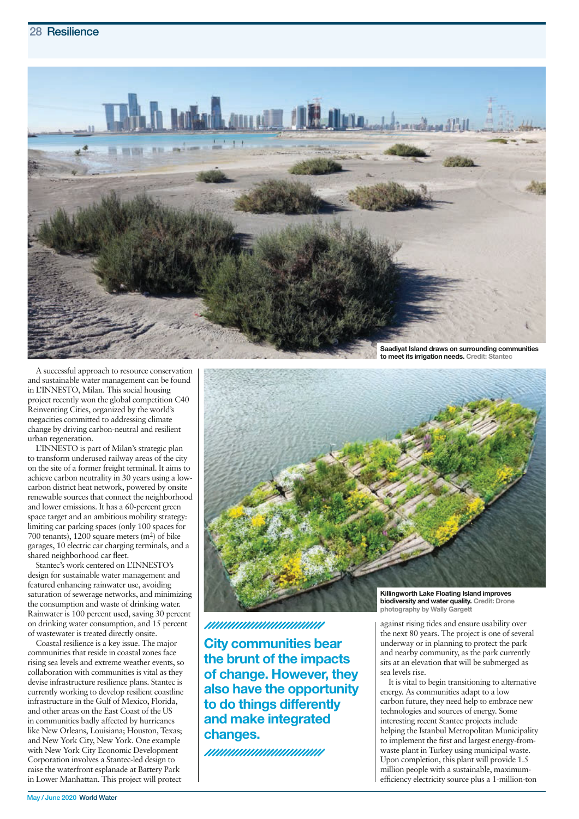

A successful approach to resource conservation and sustainable water management can be found in L'INNESTO, Milan. This social housing project recently won the global competition C40 Reinventing Cities, organized by the world's megacities committed to addressing climate change by driving carbon-neutral and resilient urban regeneration.

L'INNESTO is part of Milan's strategic plan to transform underused railway areas of the city on the site of a former freight terminal. It aims to achieve carbon neutrality in 30 years using a lowcarbon district heat network, powered by onsite renewable sources that connect the neighborhood and lower emissions. It has a 60-percent green space target and an ambitious mobility strategy: limiting car parking spaces (only 100 spaces for 700 tenants), 1200 square meters (m2) of bike garages, 10 electric car charging terminals, and a shared neighborhood car fleet.

Stantec's work centered on L'INNESTO's design for sustainable water management and featured enhancing rainwater use, avoiding saturation of sewerage networks, and minimizing the consumption and waste of drinking water. Rainwater is 100 percent used, saving 30 percent on drinking water consumption, and 15 percent of wastewater is treated directly onsite.

Coastal resilience is a key issue. The major communities that reside in coastal zones face rising sea levels and extreme weather events, so collaboration with communities is vital as they devise infrastructure resilience plans. Stantec is currently working to develop resilient coastline infrastructure in the Gulf of Mexico, Florida, and other areas on the East Coast of the US in communities badly affected by hurricanes like New Orleans, Louisiana; Houston, Texas; and New York City, New York. One example with New York City Economic Development Corporation involves a Stantec-led design to raise the waterfront esplanade at Battery Park in Lower Manhattan. This project will protect



//////////////////////////////////

**City communities bear the brunt of the impacts of change. However, they also have the opportunity to do things differently and make integrated changes.**

///////////////////////////////

**Killingworth Lake Floating Island improves biodiversity and water quality. Credit: Drone photography by Wally Gargett**

against rising tides and ensure usability over the next 80 years. The project is one of several underway or in planning to protect the park and nearby community, as the park currently sits at an elevation that will be submerged as sea levels rise.

It is vital to begin transitioning to alternative energy. As communities adapt to a low carbon future, they need help to embrace new technologies and sources of energy. Some interesting recent Stantec projects include helping the Istanbul Metropolitan Municipality to implement the first and largest energy-fromwaste plant in Turkey using municipal waste. Upon completion, this plant will provide 1.5 million people with a sustainable, maximumefficiency electricity source plus a 1-million-ton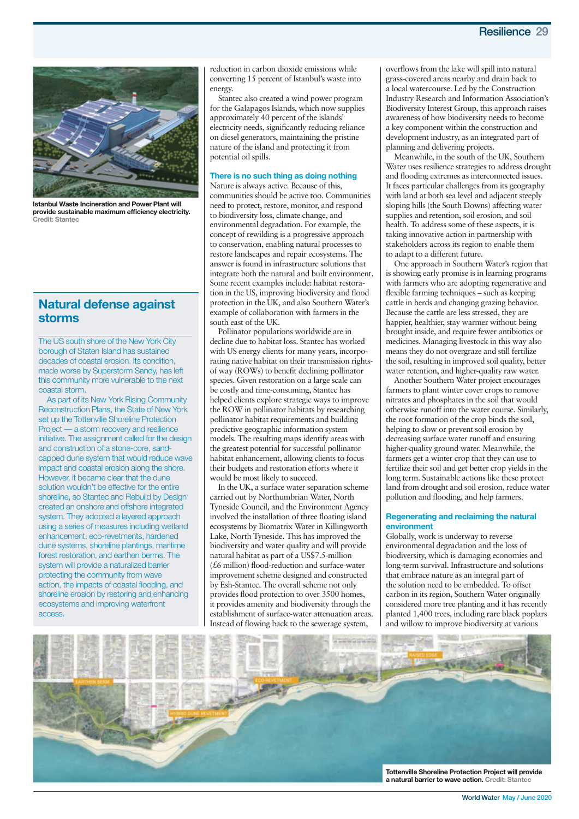

**Istanbul Waste Incineration and Power Plant will provide sustainable maximum efficiency electricity. Credit: Stantec**

#### **Natural defense against storms**

The US south shore of the New York City borough of Staten Island has sustained decades of coastal erosion. Its condition, made worse by Superstorm Sandy, has left this community more vulnerable to the next coastal storm.

As part of its New York Rising Community Reconstruction Plans, the State of New York set up the Tottenville Shoreline Protection Project — a storm recovery and resilience initiative. The assignment called for the design and construction of a stone-core, sandcapped dune system that would reduce wave impact and coastal erosion along the shore. However, it became clear that the dune solution wouldn't be effective for the entire shoreline, so Stantec and Rebuild by Design created an onshore and offshore integrated system. They adopted a layered approach using a series of measures including wetland enhancement, eco-revetments, hardened dune systems, shoreline plantings, maritime forest restoration, and earthen berms. The system will provide a naturalized barrier protecting the community from wave action, the impacts of coastal flooding, and shoreline erosion by restoring and enhancing ecosystems and improving waterfront access.

reduction in carbon dioxide emissions while converting 15 percent of Istanbul's waste into energy.

Stantec also created a wind power program for the Galapagos Islands, which now supplies approximately 40 percent of the islands' electricity needs, significantly reducing reliance on diesel generators, maintaining the pristine nature of the island and protecting it from potential oil spills.

#### **There is no such thing as doing nothing**

Nature is always active. Because of this, communities should be active too. Communities need to protect, restore, monitor, and respond to biodiversity loss, climate change, and environmental degradation. For example, the concept of rewilding is a progressive approach to conservation, enabling natural processes to restore landscapes and repair ecosystems. The answer is found in infrastructure solutions that integrate both the natural and built environment. Some recent examples include: habitat restoration in the US, improving biodiversity and flood protection in the UK, and also Southern Water's example of collaboration with farmers in the south east of the UK.

Pollinator populations worldwide are in decline due to habitat loss. Stantec has worked with US energy clients for many years, incorporating native habitat on their transmission rightsof way (ROWs) to benefit declining pollinator species. Given restoration on a large scale can be costly and time-consuming, Stantec has helped clients explore strategic ways to improve the ROW in pollinator habitats by researching pollinator habitat requirements and building predictive geographic information system models. The resulting maps identify areas with the greatest potential for successful pollinator habitat enhancement, allowing clients to focus their budgets and restoration efforts where it would be most likely to succeed.

In the UK, a surface water separation scheme carried out by Northumbrian Water, North Tyneside Council, and the Environment Agency involved the installation of three floating island ecosystems by Biomatrix Water in Killingworth Lake, North Tyneside. This has improved the biodiversity and water quality and will provide natural habitat as part of a US\$7.5-million (£6 million) flood-reduction and surface-water improvement scheme designed and constructed by Esh-Stantec. The overall scheme not only provides flood protection to over 3500 homes, it provides amenity and biodiversity through the establishment of surface-water attenuation areas. Instead of flowing back to the sewerage system,

overflows from the lake will spill into natural grass-covered areas nearby and drain back to a local watercourse. Led by the Construction Industry Research and Information Association's Biodiversity Interest Group, this approach raises awareness of how biodiversity needs to become a key component within the construction and development industry, as an integrated part of planning and delivering projects.

Meanwhile, in the south of the UK, Southern Water uses resilience strategies to address drought and flooding extremes as interconnected issues. It faces particular challenges from its geography with land at both sea level and adjacent steeply sloping hills (the South Downs) affecting water supplies and retention, soil erosion, and soil health. To address some of these aspects, it is taking innovative action in partnership with stakeholders across its region to enable them to adapt to a different future.

One approach in Southern Water's region that is showing early promise is in learning programs with farmers who are adopting regenerative and flexible farming techniques – such as keeping cattle in herds and changing grazing behavior. Because the cattle are less stressed, they are happier, healthier, stay warmer without being brought inside, and require fewer antibiotics or medicines. Managing livestock in this way also means they do not overgraze and still fertilize the soil, resulting in improved soil quality, better water retention, and higher-quality raw water.

Another Southern Water project encourages farmers to plant winter cover crops to remove nitrates and phosphates in the soil that would otherwise runoff into the water course. Similarly, the root formation of the crop binds the soil, helping to slow or prevent soil erosion by decreasing surface water runoff and ensuring higher-quality ground water. Meanwhile, the farmers get a winter crop that they can use to fertilize their soil and get better crop yields in the long term. Sustainable actions like these protect land from drought and soil erosion, reduce water pollution and flooding, and help farmers.

#### **Regenerating and reclaiming the natural environment**

Globally, work is underway to reverse environmental degradation and the loss of biodiversity, which is damaging economies and long-term survival. Infrastructure and solutions that embrace nature as an integral part of the solution need to be embedded. To offset carbon in its region, Southern Water originally considered more tree planting and it has recently planted 1,400 trees, including rare black poplars and willow to improve biodiversity at various



**World Water May / June 2020**